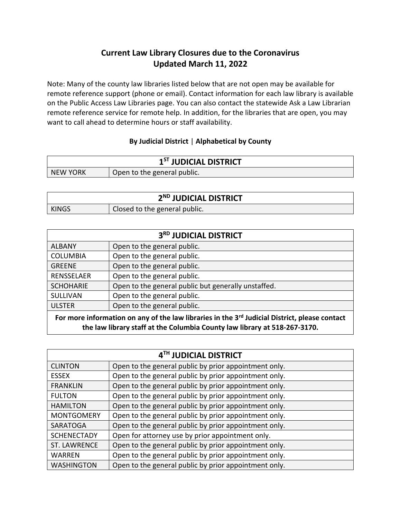## **Current Law Library Closures due to the Coronavirus Updated March 11, 2022**

Note: Many of the county law libraries listed below that are not open may be available for remote reference support (phone or email). Contact information for each law library is available on the Public Access Law Libraries page. You can also contact the statewide Ask a Law Librarian remote reference service for remote help. In addition, for the libraries that are open, you may want to call ahead to determine hours or staff availability.

## **By Judicial District** | **Alphabetical by County**

| 1 <sup>ST</sup> JUDICIAL DISTRICT |                             |
|-----------------------------------|-----------------------------|
| NEW YORK                          | Open to the general public. |

| 2 <sup>ND</sup> JUDICIAL DISTRICT |                               |
|-----------------------------------|-------------------------------|
| <b>KINGS</b>                      | Closed to the general public. |

| 3RD JUDICIAL DISTRICT                                                                                                                                                                  |                                                     |
|----------------------------------------------------------------------------------------------------------------------------------------------------------------------------------------|-----------------------------------------------------|
| <b>ALBANY</b>                                                                                                                                                                          | Open to the general public.                         |
| <b>COLUMBIA</b>                                                                                                                                                                        | Open to the general public.                         |
| <b>GREENE</b>                                                                                                                                                                          | Open to the general public.                         |
| <b>RENSSELAER</b>                                                                                                                                                                      | Open to the general public.                         |
| <b>SCHOHARIE</b>                                                                                                                                                                       | Open to the general public but generally unstaffed. |
| <b>SULLIVAN</b>                                                                                                                                                                        | Open to the general public.                         |
| <b>ULSTER</b>                                                                                                                                                                          | Open to the general public.                         |
| For more information on any of the law libraries in the 3 <sup>rd</sup> Judicial District, please contact<br>the law library staff at the Columbia County law library at 518-267-3170. |                                                     |

| 4 <sup>TH</sup> JUDICIAL DISTRICT |                                                       |  |
|-----------------------------------|-------------------------------------------------------|--|
| <b>CLINTON</b>                    | Open to the general public by prior appointment only. |  |
| <b>ESSEX</b>                      | Open to the general public by prior appointment only. |  |
| <b>FRANKLIN</b>                   | Open to the general public by prior appointment only. |  |
| <b>FULTON</b>                     | Open to the general public by prior appointment only. |  |
| <b>HAMILTON</b>                   | Open to the general public by prior appointment only. |  |
| <b>MONTGOMERY</b>                 | Open to the general public by prior appointment only. |  |
| SARATOGA                          | Open to the general public by prior appointment only. |  |
| <b>SCHENECTADY</b>                | Open for attorney use by prior appointment only.      |  |
| <b>ST. LAWRENCE</b>               | Open to the general public by prior appointment only. |  |
| <b>WARREN</b>                     | Open to the general public by prior appointment only. |  |
| <b>WASHINGTON</b>                 | Open to the general public by prior appointment only. |  |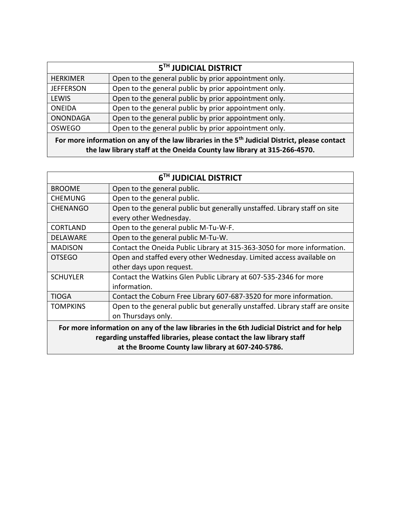| 5 <sup>TH</sup> JUDICIAL DISTRICT                                                                                                                                                    |                                                       |
|--------------------------------------------------------------------------------------------------------------------------------------------------------------------------------------|-------------------------------------------------------|
| <b>HERKIMER</b>                                                                                                                                                                      | Open to the general public by prior appointment only. |
| <b>JEFFERSON</b>                                                                                                                                                                     | Open to the general public by prior appointment only. |
| <b>LEWIS</b>                                                                                                                                                                         | Open to the general public by prior appointment only. |
| <b>ONEIDA</b>                                                                                                                                                                        | Open to the general public by prior appointment only. |
| <b>ONONDAGA</b>                                                                                                                                                                      | Open to the general public by prior appointment only. |
| <b>OSWEGO</b>                                                                                                                                                                        | Open to the general public by prior appointment only. |
| For more information on any of the law libraries in the 5 <sup>th</sup> Judicial District, please contact<br>the law library staff at the Oneida County law library at 315-266-4570. |                                                       |

| 6TH JUDICIAL DISTRICT                                                                      |                                                                              |
|--------------------------------------------------------------------------------------------|------------------------------------------------------------------------------|
| <b>BROOME</b>                                                                              | Open to the general public.                                                  |
| <b>CHEMUNG</b>                                                                             | Open to the general public.                                                  |
| <b>CHENANGO</b>                                                                            | Open to the general public but generally unstaffed. Library staff on site    |
|                                                                                            | every other Wednesday.                                                       |
| <b>CORTLAND</b>                                                                            | Open to the general public M-Tu-W-F.                                         |
| <b>DELAWARE</b>                                                                            | Open to the general public M-Tu-W.                                           |
| <b>MADISON</b>                                                                             | Contact the Oneida Public Library at 315-363-3050 for more information.      |
| <b>OTSEGO</b>                                                                              | Open and staffed every other Wednesday. Limited access available on          |
|                                                                                            | other days upon request.                                                     |
| <b>SCHUYLER</b>                                                                            | Contact the Watkins Glen Public Library at 607-535-2346 for more             |
|                                                                                            | information.                                                                 |
| <b>TIOGA</b>                                                                               | Contact the Coburn Free Library 607-687-3520 for more information.           |
| <b>TOMPKINS</b>                                                                            | Open to the general public but generally unstaffed. Library staff are onsite |
|                                                                                            | on Thursdays only.                                                           |
| For more information on any of the law libraries in the 6th Judicial District and for help |                                                                              |
| regarding unstaffed libraries, please contact the law library staff                        |                                                                              |
|                                                                                            | at the Broome County law library at 607-240-5786.                            |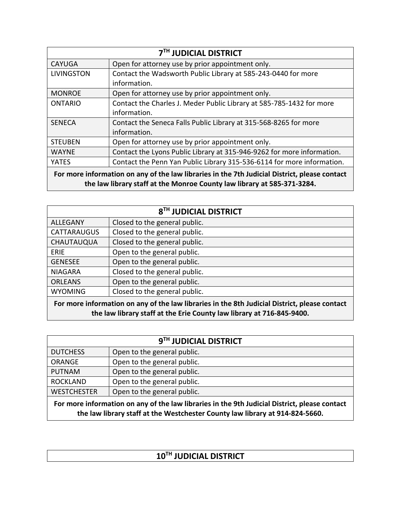| <b>7TH JUDICIAL DISTRICT</b>                                                                                                                                             |                                                                        |
|--------------------------------------------------------------------------------------------------------------------------------------------------------------------------|------------------------------------------------------------------------|
| <b>CAYUGA</b>                                                                                                                                                            | Open for attorney use by prior appointment only.                       |
| <b>LIVINGSTON</b>                                                                                                                                                        | Contact the Wadsworth Public Library at 585-243-0440 for more          |
|                                                                                                                                                                          | information.                                                           |
| <b>MONROE</b>                                                                                                                                                            | Open for attorney use by prior appointment only.                       |
| <b>ONTARIO</b>                                                                                                                                                           | Contact the Charles J. Meder Public Library at 585-785-1432 for more   |
|                                                                                                                                                                          | information.                                                           |
| <b>SENECA</b>                                                                                                                                                            | Contact the Seneca Falls Public Library at 315-568-8265 for more       |
|                                                                                                                                                                          | information.                                                           |
| <b>STEUBEN</b>                                                                                                                                                           | Open for attorney use by prior appointment only.                       |
| <b>WAYNE</b>                                                                                                                                                             | Contact the Lyons Public Library at 315-946-9262 for more information. |
| YATES                                                                                                                                                                    | Contact the Penn Yan Public Library 315-536-6114 for more information. |
| For more information on any of the law libraries in the 7th Judicial District, please contact<br>the law library staff at the Monroe County law library at 585-371-3284. |                                                                        |

| 8 <sup>TH</sup> JUDICIAL DISTRICT                                                                                                                                      |                               |
|------------------------------------------------------------------------------------------------------------------------------------------------------------------------|-------------------------------|
| <b>ALLEGANY</b>                                                                                                                                                        | Closed to the general public. |
| CATTARAUGUS                                                                                                                                                            | Closed to the general public. |
| CHAUTAUQUA                                                                                                                                                             | Closed to the general public. |
| <b>ERIE</b>                                                                                                                                                            | Open to the general public.   |
| <b>GENESEE</b>                                                                                                                                                         | Open to the general public.   |
| <b>NIAGARA</b>                                                                                                                                                         | Closed to the general public. |
| <b>ORLEANS</b>                                                                                                                                                         | Open to the general public.   |
| <b>WYOMING</b>                                                                                                                                                         | Closed to the general public. |
| For more information on any of the law libraries in the 8th Judicial District, please contact<br>the law library staff at the Erie County law library at 716-845-9400. |                               |

| 9 <sup>TH</sup> JUDICIAL DISTRICT                                                                                                                                             |                             |
|-------------------------------------------------------------------------------------------------------------------------------------------------------------------------------|-----------------------------|
| <b>DUTCHESS</b>                                                                                                                                                               | Open to the general public. |
| <b>ORANGE</b>                                                                                                                                                                 | Open to the general public. |
| <b>PUTNAM</b>                                                                                                                                                                 | Open to the general public. |
| <b>ROCKLAND</b>                                                                                                                                                               | Open to the general public. |
| <b>WESTCHESTER</b>                                                                                                                                                            | Open to the general public. |
| For more information on any of the law libraries in the 9th Judicial District, please contact<br>the law library staff at the Westchester County law library at 914-824-5660. |                             |

| 10TH JUDICIAL DISTRICT |  |
|------------------------|--|
|                        |  |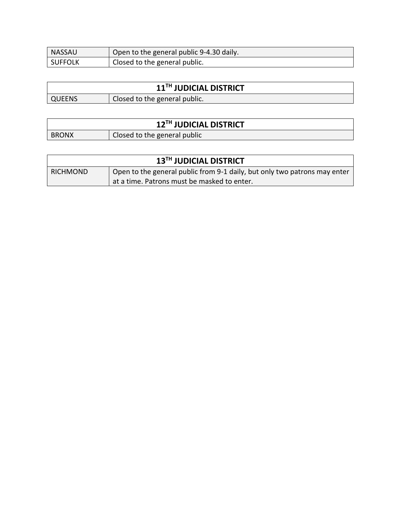| <b>NASSAU</b>  | Open to the general public 9-4.30 daily. |
|----------------|------------------------------------------|
| <b>SUFFOLK</b> | Closed to the general public.            |

| 11 <sup>TH</sup> JUDICIAL DISTRICT |                               |
|------------------------------------|-------------------------------|
| QUEENS                             | Closed to the general public. |

| 12 <sup>TH</sup> JUDICIAL DISTRICT |                              |  |
|------------------------------------|------------------------------|--|
| <b>BRONX</b>                       | Closed to the general public |  |

| 13TH JUDICIAL DISTRICT |                                                                           |  |
|------------------------|---------------------------------------------------------------------------|--|
| <b>RICHMOND</b>        | Open to the general public from 9-1 daily, but only two patrons may enter |  |
|                        | at a time. Patrons must be masked to enter.                               |  |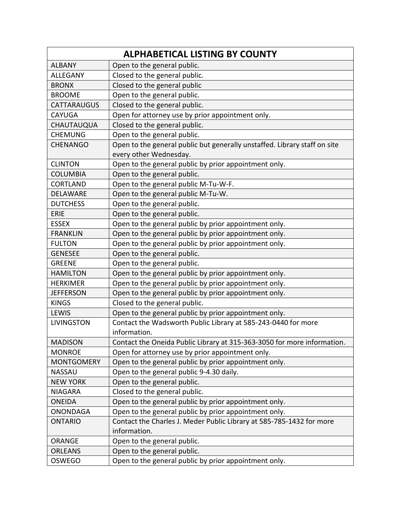| <b>ALPHABETICAL LISTING BY COUNTY</b> |                                                                           |  |
|---------------------------------------|---------------------------------------------------------------------------|--|
| <b>ALBANY</b>                         | Open to the general public.                                               |  |
| <b>ALLEGANY</b>                       | Closed to the general public.                                             |  |
| <b>BRONX</b>                          | Closed to the general public                                              |  |
| <b>BROOME</b>                         | Open to the general public.                                               |  |
| <b>CATTARAUGUS</b>                    | Closed to the general public.                                             |  |
| <b>CAYUGA</b>                         | Open for attorney use by prior appointment only.                          |  |
| CHAUTAUQUA                            | Closed to the general public.                                             |  |
| <b>CHEMUNG</b>                        | Open to the general public.                                               |  |
| <b>CHENANGO</b>                       | Open to the general public but generally unstaffed. Library staff on site |  |
|                                       | every other Wednesday.                                                    |  |
| <b>CLINTON</b>                        | Open to the general public by prior appointment only.                     |  |
| <b>COLUMBIA</b>                       | Open to the general public.                                               |  |
| <b>CORTLAND</b>                       | Open to the general public M-Tu-W-F.                                      |  |
| <b>DELAWARE</b>                       | Open to the general public M-Tu-W.                                        |  |
| <b>DUTCHESS</b>                       | Open to the general public.                                               |  |
| <b>ERIE</b>                           | Open to the general public.                                               |  |
| <b>ESSEX</b>                          | Open to the general public by prior appointment only.                     |  |
| <b>FRANKLIN</b>                       | Open to the general public by prior appointment only.                     |  |
| <b>FULTON</b>                         | Open to the general public by prior appointment only.                     |  |
| <b>GENESEE</b>                        | Open to the general public.                                               |  |
| <b>GREENE</b>                         | Open to the general public.                                               |  |
| <b>HAMILTON</b>                       | Open to the general public by prior appointment only.                     |  |
| <b>HERKIMER</b>                       | Open to the general public by prior appointment only.                     |  |
| <b>JEFFERSON</b>                      | Open to the general public by prior appointment only.                     |  |
| <b>KINGS</b>                          | Closed to the general public.                                             |  |
| LEWIS                                 | Open to the general public by prior appointment only.                     |  |
| <b>LIVINGSTON</b>                     | Contact the Wadsworth Public Library at 585-243-0440 for more             |  |
|                                       | information.                                                              |  |
| <b>MADISON</b>                        | Contact the Oneida Public Library at 315-363-3050 for more information.   |  |
| <b>MONROE</b>                         | Open for attorney use by prior appointment only.                          |  |
| <b>MONTGOMERY</b>                     | Open to the general public by prior appointment only.                     |  |
| <b>NASSAU</b>                         | Open to the general public 9-4.30 daily.                                  |  |
| <b>NEW YORK</b>                       | Open to the general public.                                               |  |
| <b>NIAGARA</b>                        | Closed to the general public.                                             |  |
| <b>ONEIDA</b>                         | Open to the general public by prior appointment only.                     |  |
| <b>ONONDAGA</b>                       | Open to the general public by prior appointment only.                     |  |
| <b>ONTARIO</b>                        | Contact the Charles J. Meder Public Library at 585-785-1432 for more      |  |
|                                       | information.                                                              |  |
| <b>ORANGE</b>                         | Open to the general public.                                               |  |
| <b>ORLEANS</b>                        | Open to the general public.                                               |  |
| <b>OSWEGO</b>                         | Open to the general public by prior appointment only.                     |  |